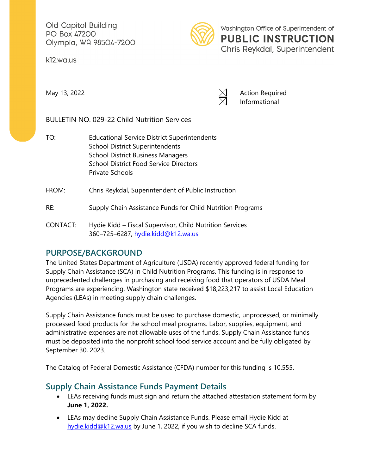Old Capitol Building PO Box 47200 Olympia, WA 98504-7200

k12.wa.us



Washington Office of Superintendent of **PUBLIC INSTRUCTION** Chris Reykdal, Superintendent

May 13, 2022  $\bowtie$  Action Required Informational

BULLETIN NO. 029-22 Child Nutrition Services

TO: Educational Service District Superintendents School District Superintendents School District Business Managers School District Food Service Directors Private Schools

FROM: Chris Reykdal, Superintendent of Public Instruction

- RE: Supply Chain Assistance Funds for Child Nutrition Programs
- CONTACT: Hydie Kidd Fiscal Supervisor, Child Nutrition Services 360–725–6287, [hydie.kidd@k12.wa.us](mailto:hydie.kidd@k12.wa.us)

# **PURPOSE/BACKGROUND**

The United States Department of Agriculture (USDA) recently approved federal funding for Supply Chain Assistance (SCA) in Child Nutrition Programs. This funding is in response to unprecedented challenges in purchasing and receiving food that operators of USDA Meal Programs are experiencing. Washington state received \$18,223,217 to assist Local Education Agencies (LEAs) in meeting supply chain challenges.

Supply Chain Assistance funds must be used to purchase domestic, unprocessed, or minimally processed food products for the school meal programs. Labor, supplies, equipment, and administrative expenses are not allowable uses of the funds. Supply Chain Assistance funds must be deposited into the nonprofit school food service account and be fully obligated by September 30, 2023.

The Catalog of Federal Domestic Assistance (CFDA) number for this funding is 10.555.

# **Supply Chain Assistance Funds Payment Details**

- LEAs receiving funds must sign and return the attached attestation statement form by **June 1, 2022.**
- LEAs may decline Supply Chain Assistance Funds. Please email Hydie Kidd at [hydie.kidd@k12.wa.us](mailto:hydie.kidd@k12.wa.us) by June 1, 2022, if you wish to decline SCA funds.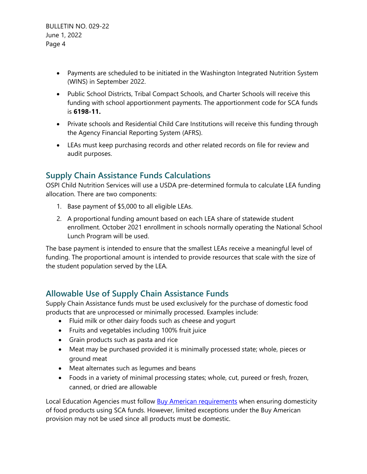- Payments are scheduled to be initiated in the Washington Integrated Nutrition System (WINS) in September 2022.
- Public School Districts, Tribal Compact Schools, and Charter Schools will receive this funding with school apportionment payments. The apportionment code for SCA funds is **6198-11.**
- Private schools and Residential Child Care Institutions will receive this funding through the Agency Financial Reporting System (AFRS).
- LEAs must keep purchasing records and other related records on file for review and audit purposes.

# **Supply Chain Assistance Funds Calculations**

OSPI Child Nutrition Services will use a USDA pre-determined formula to calculate LEA funding allocation. There are two components:

- 1. Base payment of \$5,000 to all eligible LEAs.
- 2. A proportional funding amount based on each LEA share of statewide student enrollment. October 2021 enrollment in schools normally operating the National School Lunch Program will be used.

The base payment is intended to ensure that the smallest LEAs receive a meaningful level of funding. The proportional amount is intended to provide resources that scale with the size of the student population served by the LEA.

# **Allowable Use of Supply Chain Assistance Funds**

Supply Chain Assistance funds must be used exclusively for the purchase of domestic food products that are unprocessed or minimally processed. Examples include:

- Fluid milk or other dairy foods such as cheese and yogurt
- Fruits and vegetables including 100% fruit juice
- Grain products such as pasta and rice
- Meat may be purchased provided it is minimally processed state; whole, pieces or ground meat
- Meat alternates such as legumes and beans
- Foods in a variety of minimal processing states; whole, cut, pureed or fresh, frozen, canned, or dried are allowable

Local Education Agencies must follow **Buy American requirements** when ensuring domesticity of food products using SCA funds. However, limited exceptions under the Buy American provision may not be used since all products must be domestic.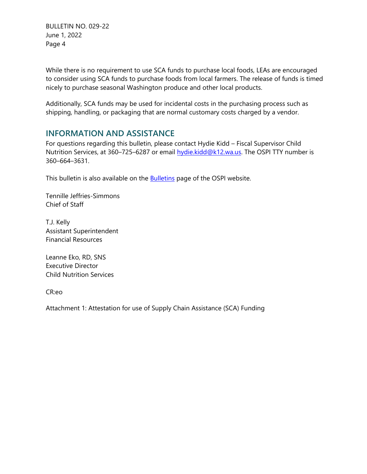BULLETIN NO. 029-22 June 1, 2022 Page 4

While there is no requirement to use SCA funds to purchase local foods, LEAs are encouraged to consider using SCA funds to purchase foods from local farmers. The release of funds is timed nicely to purchase seasonal Washington produce and other local products.

Additionally, SCA funds may be used for incidental costs in the purchasing process such as shipping, handling, or packaging that are normal customary costs charged by a vendor.

### **INFORMATION AND ASSISTANCE**

For questions regarding this bulletin, please contact Hydie Kidd – Fiscal Supervisor Child Nutrition Services, at 360-725-6287 or email [hydie.kidd@k12.wa.us.](mailto:leanne.eko@k12.wa.us) The OSPI TTY number is 360–664–3631.

This bulletin is also available on the [Bulletins](https://www.k12.wa.us/bulletinsmemos) page of the OSPI website.

Tennille Jeffries-Simmons Chief of Staff

T.J. Kelly Assistant Superintendent Financial Resources

Leanne Eko, RD, SNS Executive Director Child Nutrition Services

CR:eo

Attachment 1: Attestation for use of Supply Chain Assistance (SCA) Funding